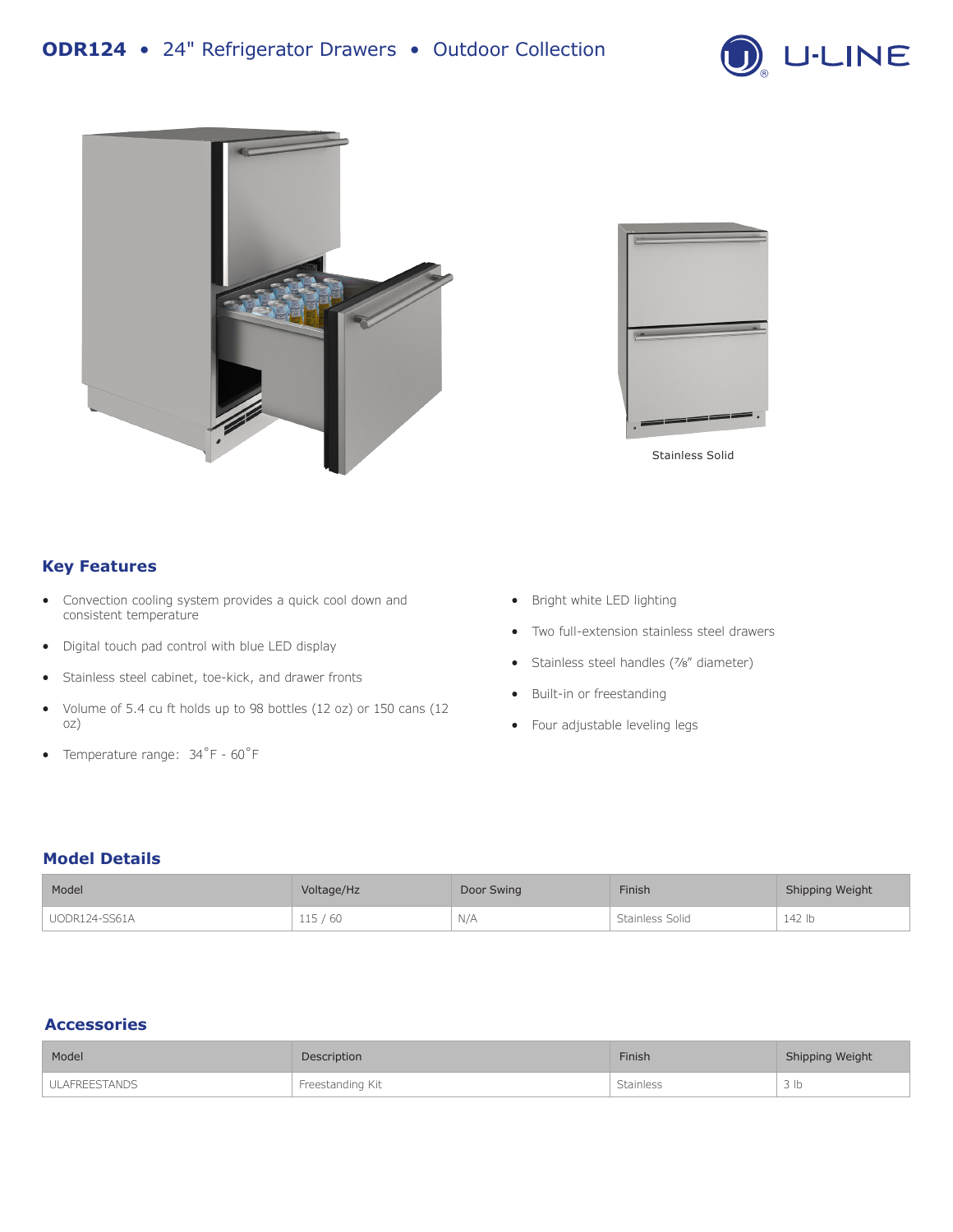





Stainless Solid

# **Key Features**

- Convection cooling system provides a quick cool down and consistent temperature
- Digital touch pad control with blue LED display
- Stainless steel cabinet, toe-kick, and drawer fronts
- Volume of 5.4 cu ft holds up to 98 bottles (12 oz) or 150 cans (12 oz)
- Temperature range: 34˚F 60˚F
- Bright white LED lighting
- Two full-extension stainless steel drawers
- Stainless steel handles (7⁄8" diameter)
- Built-in or freestanding
- Four adjustable leveling legs

### **Model Details**

| Model         | Voltage/Hz | Door Swing | Finish          | Shipping Weight |
|---------------|------------|------------|-----------------|-----------------|
| UODR124-SS61A | 115/60     | N/A        | Stainless Solid | 142 lb          |

# **Accessories**

| Model         | Description      | <b>Finish</b>    | Shipping Weight |
|---------------|------------------|------------------|-----------------|
| ULAFREESTANDS | Freestanding Kit | <b>Stainless</b> | 3 <sub>lb</sub> |